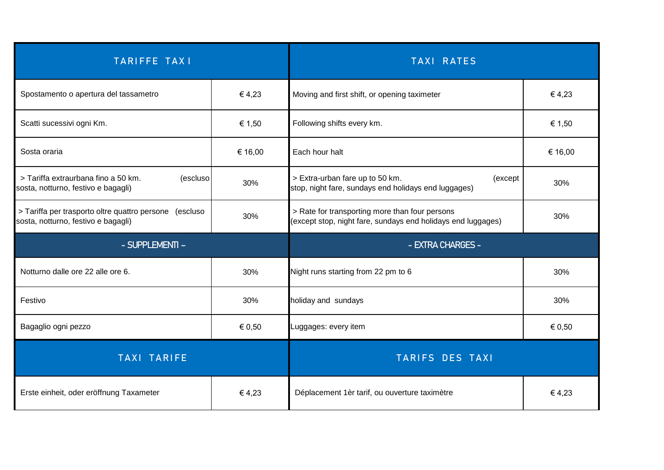| <b>TARIFFE TAXI</b>                                                                              |         | <b>TAXI RATES</b>                                                                                              |         |
|--------------------------------------------------------------------------------------------------|---------|----------------------------------------------------------------------------------------------------------------|---------|
| Spostamento o apertura del tassametro                                                            | €4,23   | Moving and first shift, or opening taximeter                                                                   | €4,23   |
| Scatti sucessivi ogni Km.                                                                        | € 1,50  | Following shifts every km.                                                                                     | € 1,50  |
| Sosta oraria                                                                                     | € 16,00 | Each hour halt                                                                                                 | € 16,00 |
| > Tariffa extraurbana fino a 50 km.<br>(escluso)<br>sosta, notturno, festivo e bagagli)          | 30%     | > Extra-urban fare up to 50 km.<br>(except<br>stop, night fare, sundays end holidays end luggages)             | 30%     |
| > Tariffa per trasporto oltre quattro persone<br>(escluso<br>sosta, notturno, festivo e bagagli) | 30%     | > Rate for transporting more than four persons<br>(except stop, night fare, sundays end holidays end luggages) | 30%     |
| - SUPPLEMENTI -                                                                                  |         | - EXTRA CHARGES -                                                                                              |         |
| Notturno dalle ore 22 alle ore 6.                                                                | 30%     | Night runs starting from 22 pm to 6                                                                            | 30%     |
| Festivo                                                                                          | 30%     | holiday and sundays                                                                                            | 30%     |
| Bagaglio ogni pezzo                                                                              | € 0,50  | Luggages: every item                                                                                           | € 0,50  |
| <b>TAXI TARIFE</b>                                                                               |         | <b>TARIFS DES TAXI</b>                                                                                         |         |
| Erste einheit, oder eröffnung Taxameter                                                          | €4,23   | Déplacement 1èr tarif, ou ouverture taximètre                                                                  | €4,23   |